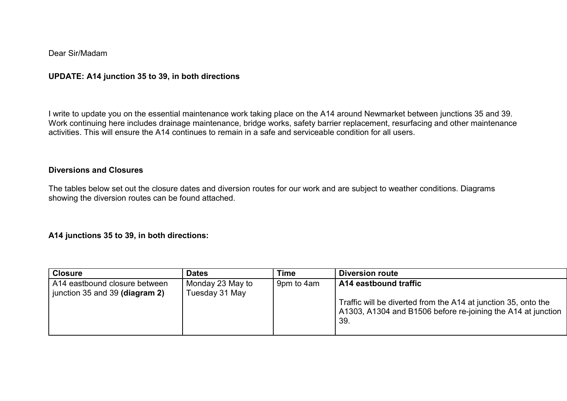#### Dear Sir/Madam

## UPDATE: A14 junction 35 to 39, in both directions

I write to update you on the essential maintenance work taking place on the A14 around Newmarket between junctions 35 and 39. Work continuing here includes drainage maintenance, bridge works, safety barrier replacement, resurfacing and other maintenance activities. This will ensure the A14 continues to remain in a safe and serviceable condition for all users.

### Diversions and Closures

The tables below set out the closure dates and diversion routes for our work and are subject to weather conditions. Diagrams showing the diversion routes can be found attached.

#### A14 junctions 35 to 39, in both directions:

| <b>Closure</b>                                                  | <b>Dates</b>                       | Time       | <b>Diversion route</b>                                                                                                                                         |
|-----------------------------------------------------------------|------------------------------------|------------|----------------------------------------------------------------------------------------------------------------------------------------------------------------|
| A14 eastbound closure between<br>junction 35 and 39 (diagram 2) | Monday 23 May to<br>Tuesday 31 May | 9pm to 4am | A14 eastbound traffic<br>Traffic will be diverted from the A14 at junction 35, onto the<br>A1303, A1304 and B1506 before re-joining the A14 at junction<br>39. |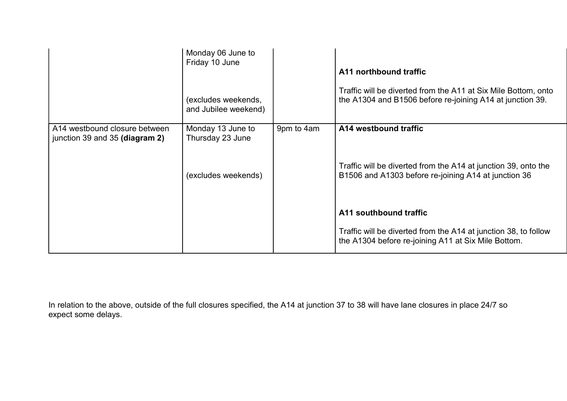|                                                                 | Monday 06 June to<br>Friday 10 June<br>(excludes weekends,<br>and Jubilee weekend) |            | A11 northbound traffic<br>Traffic will be diverted from the A11 at Six Mile Bottom, onto<br>the A1304 and B1506 before re-joining A14 at junction 39. |
|-----------------------------------------------------------------|------------------------------------------------------------------------------------|------------|-------------------------------------------------------------------------------------------------------------------------------------------------------|
| A14 westbound closure between<br>junction 39 and 35 (diagram 2) | Monday 13 June to<br>Thursday 23 June                                              | 9pm to 4am | A14 westbound traffic                                                                                                                                 |
|                                                                 | (excludes weekends)                                                                |            | Traffic will be diverted from the A14 at junction 39, onto the<br>B1506 and A1303 before re-joining A14 at junction 36                                |
|                                                                 |                                                                                    |            | A11 southbound traffic                                                                                                                                |
|                                                                 |                                                                                    |            | Traffic will be diverted from the A14 at junction 38, to follow<br>the A1304 before re-joining A11 at Six Mile Bottom.                                |

In relation to the above, outside of the full closures specified, the A14 at junction 37 to 38 will have lane closures in place 24/7 so expect some delays.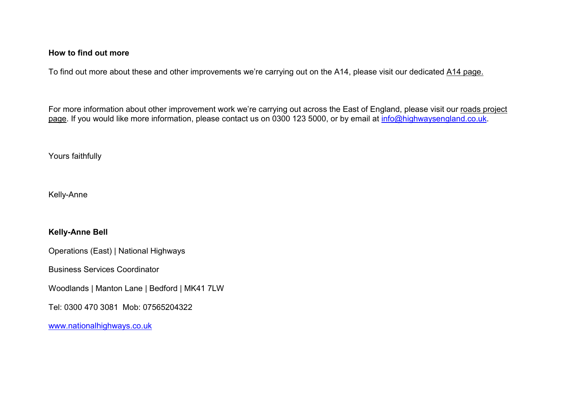#### How to find out more

To find out more about these and other improvements we're carrying out on the A14, please visit our dedicated A14 page.

For more information about other improvement work we're carrying out across the East of England, please visit our roads project page. If you would like more information, please contact us on 0300 123 5000, or by email at info@highwaysengland.co.uk.

Yours faithfully

Kelly-Anne

# Kelly-Anne Bell

Operations (East) | National Highways

Business Services Coordinator

Woodlands | Manton Lane | Bedford | MK41 7LW

Tel: 0300 470 3081 Mob: 07565204322

www.nationalhighways.co.uk